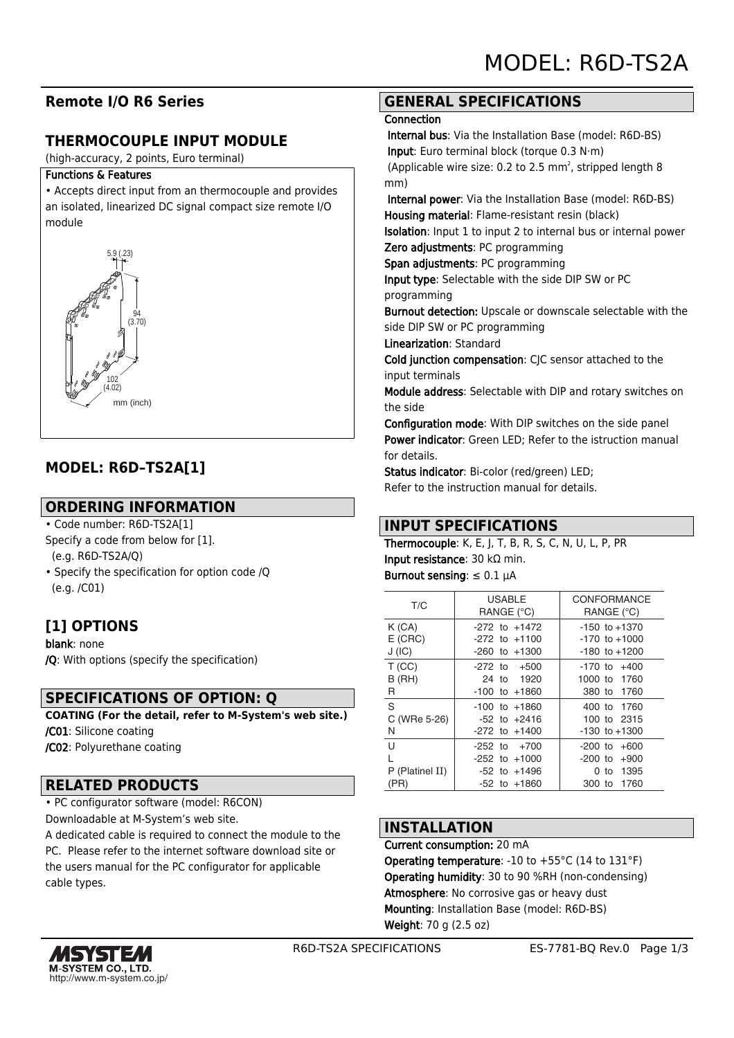# **Remote I/O R6 Series**

# **THERMOCOUPLE INPUT MODULE**

(high-accuracy, 2 points, Euro terminal)

#### Functions & Features

• Accepts direct input from an thermocouple and provides an isolated, linearized DC signal compact size remote I/O module



# **MODEL: R6D–TS2A[1]**

### **ORDERING INFORMATION**

• Code number: R6D-TS2A[1]

- Specify a code from below for [1]. (e.g. R6D-TS2A/Q)
- Specify the specification for option code /Q (e.g. /C01)

### **[1] OPTIONS**

blank: none /Q: With options (specify the specification)

### **SPECIFICATIONS OF OPTION: Q**

**COATING (For the detail, refer to M-System's web site.)** /C01: Silicone coating

/C02: Polyurethane coating

### **RELATED PRODUCTS**

• PC configurator software (model: R6CON)

Downloadable at M-System's web site.

A dedicated cable is required to connect the module to the PC. Please refer to the internet software download site or the users manual for the PC configurator for applicable cable types.

# **GENERAL SPECIFICATIONS**

#### **Connection**

 Internal bus: Via the Installation Base (model: R6D-BS) Input: Euro terminal block (torque 0.3 N·m)

(Applicable wire size: 0.2 to 2.5 mm<sup>2</sup>, stripped length 8 mm)

 Internal power: Via the Installation Base (model: R6D-BS) Housing material: Flame-resistant resin (black)

Isolation: Input 1 to input 2 to internal bus or internal power

Zero adjustments: PC programming

Span adjustments: PC programming

Input type: Selectable with the side DIP SW or PC programming

Burnout detection: Upscale or downscale selectable with the side DIP SW or PC programming

Linearization: Standard

Cold junction compensation: CJC sensor attached to the input terminals

Module address: Selectable with DIP and rotary switches on the side

Configuration mode: With DIP switches on the side panel Power indicator: Green LED; Refer to the istruction manual for details.

Status indicator: Bi-color (red/green) LED;

# Refer to the instruction manual for details.

### **INPUT SPECIFICATIONS**

Thermocouple: K, E, J, T, B, R, S, C, N, U, L, P, PR Input resistance: 30 kΩ min.

Burnout sensing:  $\leq 0.1$   $\mu$ A

| T/C                | <b>USABLE</b><br>RANGE (°C)            | <b>CONFORMANCE</b><br>RANGE (°C)       |
|--------------------|----------------------------------------|----------------------------------------|
| K(GA)<br>$E$ (CRC) | $-272$ to $+1472$<br>$-272$ to $+1100$ | $-150$ to $+1370$<br>$-170$ to $+1000$ |
| J(IC)              | $-260$ to $+1300$                      | $-180$ to $+1200$                      |
| T(CC)              | $-272$ to $+500$                       | $-170$ to $+400$                       |
| B(HH)              | 24 to 1920                             | 1000 to 1760                           |
| R                  | $-100$ to $+1860$                      | 380 to 1760                            |
| S                  | $-100$ to $+1860$                      | 400 to 1760                            |
| C (WRe 5-26)       | $-52$ to $+2416$                       | 100 to 2315                            |
| N                  | $-272$ to $+1400$                      | $-130$ to $+1300$                      |
| U                  | $-252$ to $+700$                       | $-200$ to $+600$                       |
|                    | $-252$ to $+1000$                      | $-200$ to $+900$                       |
| P (Platinel II)    | -52 to +1496                           | 0 to 1395                              |
| (PR)               | $-52$ to $+1860$                       | 300 to 1760                            |

### **INSTALLATION**

Current consumption: 20 mA **Operating temperature:** -10 to  $+55^{\circ}$ C (14 to 131 $^{\circ}$ F) Operating humidity: 30 to 90 %RH (non-condensing) Atmosphere: No corrosive gas or heavy dust Mounting: Installation Base (model: R6D-BS) Weight: 70 g (2.5 oz)

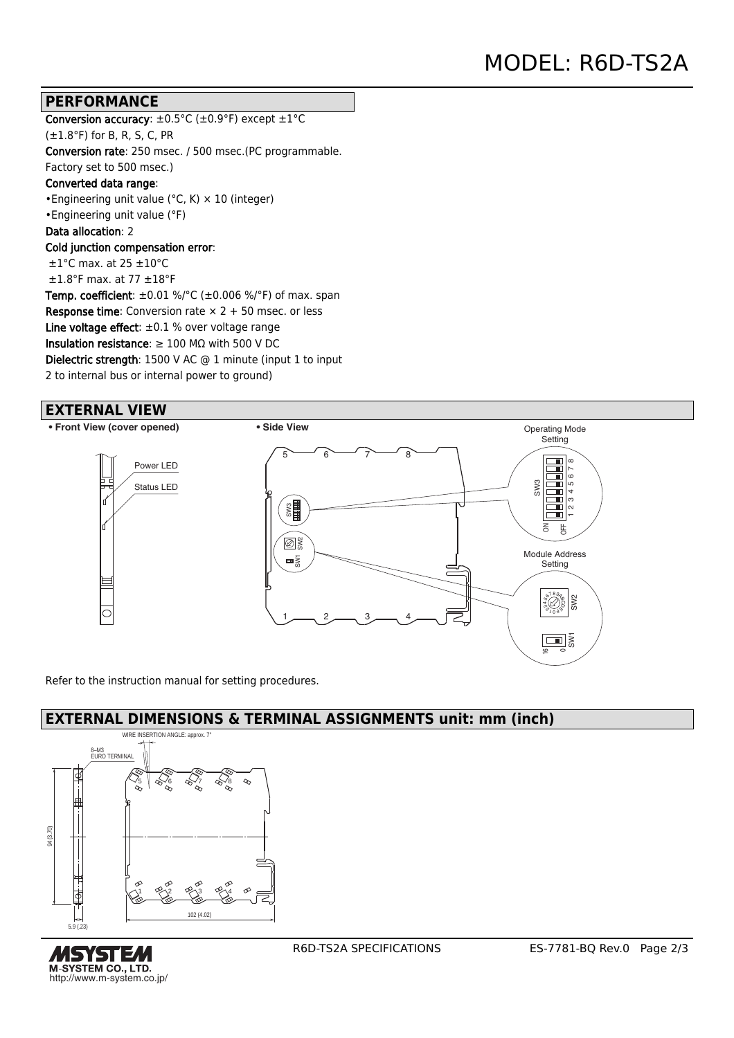### **PERFORMANCE**

Conversion accuracy:  $\pm 0.5^{\circ}$ C ( $\pm 0.9^{\circ}$ F) except  $\pm 1^{\circ}$ C  $(\pm 1.8^{\circ}F)$  for B, R, S, C, PR Conversion rate: 250 msec. / 500 msec.(PC programmable. Factory set to 500 msec.) Converted data range: •Engineering unit value (°C, K) × 10 (integer) •Engineering unit value (°F) Data allocation: 2 Cold junction compensation error: ±1°C max. at 25 ±10°C  $\pm 1.8$ °F max. at 77  $\pm 18$ °F **Temp. coefficient**:  $\pm 0.01$  %/°C ( $\pm 0.006$  %/°F) of max. span **Response time:** Conversion rate  $\times$  2 + 50 msec. or less Line voltage effect:  $\pm 0.1$  % over voltage range Insulation resistance:  $\geq 100$  M $\Omega$  with 500 V DC Dielectric strength: 1500 V AC @ 1 minute (input 1 to input 2 to internal bus or internal power to ground)

#### **EXTERNAL VIEW**

**• Front View (cover opened) • Side View**



Refer to the instruction manual for setting procedures.

### **EXTERNAL DIMENSIONS & TERMINAL ASSIGNMENTS unit: mm (inch)**